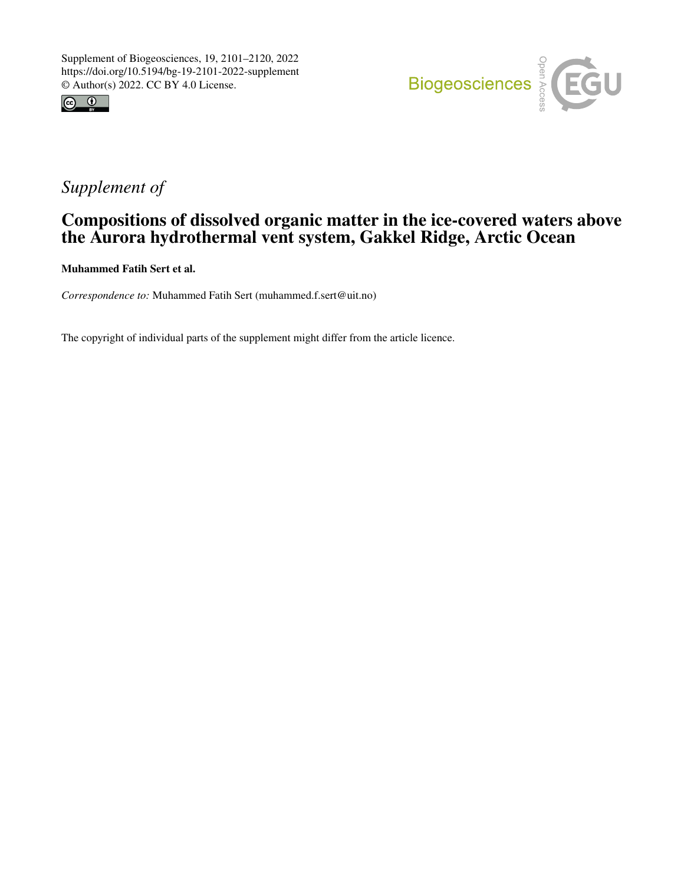



# *Supplement of*

### Compositions of dissolved organic matter in the ice-covered waters above the Aurora hydrothermal vent system, Gakkel Ridge, Arctic Ocean

Muhammed Fatih Sert et al.

*Correspondence to:* Muhammed Fatih Sert (muhammed.f.sert@uit.no)

The copyright of individual parts of the supplement might differ from the article licence.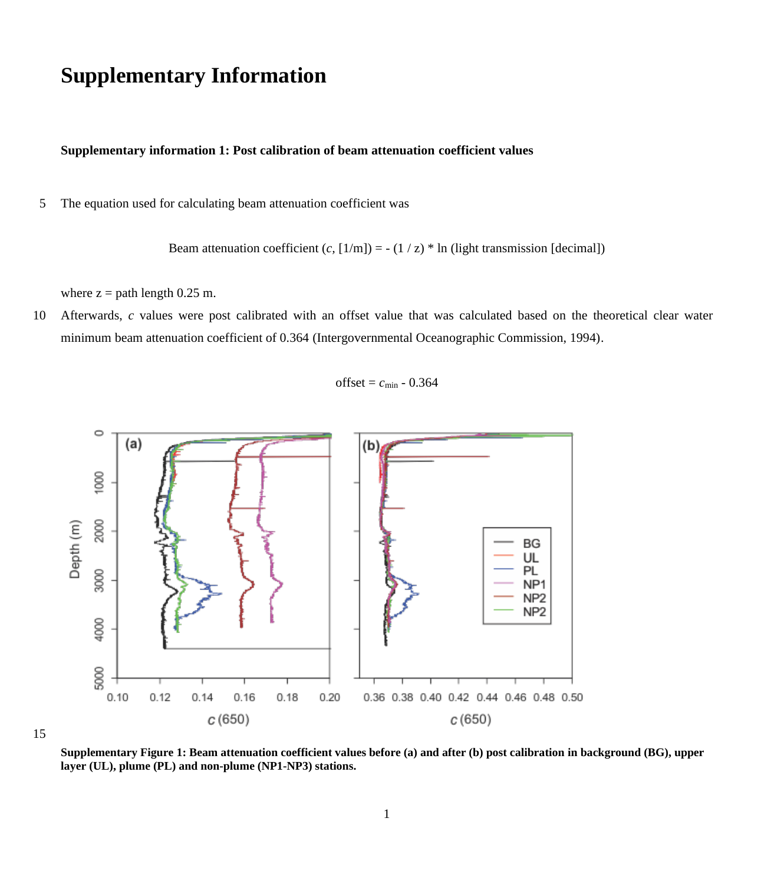## **Supplementary Information**

#### **Supplementary information 1: Post calibration of beam attenuation coefficient values**

5 The equation used for calculating beam attenuation coefficient was

Beam attenuation coefficient  $(c, [1/m]) = -(1/z)^* \ln(\text{light transmission} [\text{decimal}])$ 

where  $z =$  path length 0.25 m.

10 Afterwards, *c* values were post calibrated with an offset value that was calculated based on the theoretical clear water minimum beam attenuation coefficient of 0.364 (Intergovernmental Oceanographic Commission, 1994).

offset =  $c_{\text{min}}$  - 0.364



15

**Supplementary Figure 1: Beam attenuation coefficient values before (a) and after (b) post calibration in background (BG), upper layer (UL), plume (PL) and non-plume (NP1-NP3) stations.**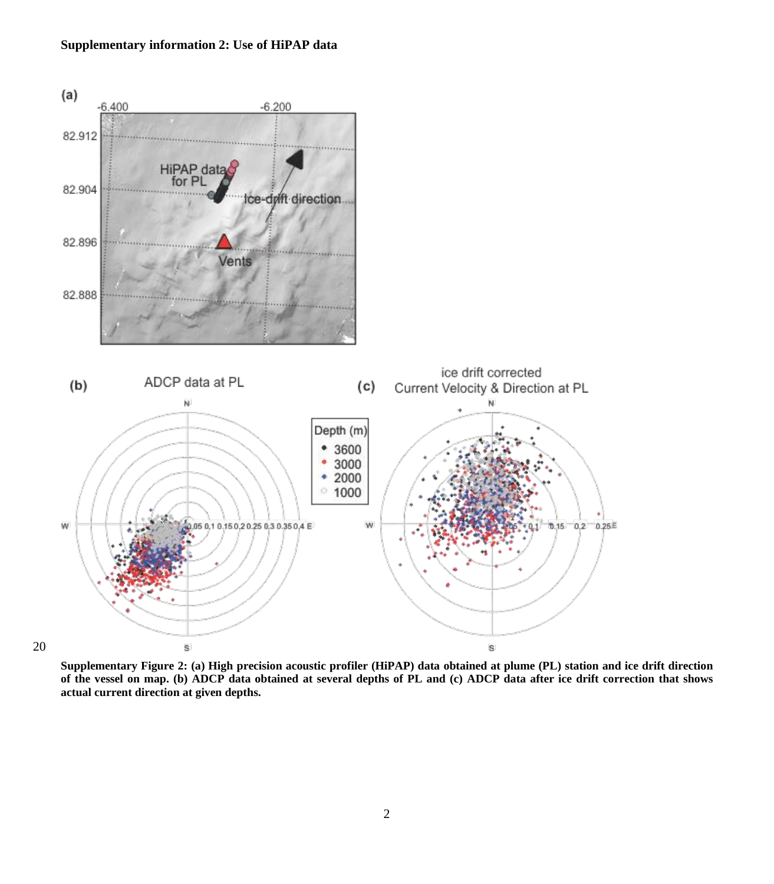### **Supplementary information 2: Use of HiPAP data**



**Supplementary Figure 2: (a) High precision acoustic profiler (HiPAP) data obtained at plume (PL) station and ice drift direction of the vessel on map. (b) ADCP data obtained at several depths of PL and (c) ADCP data after ice drift correction that shows actual current direction at given depths.**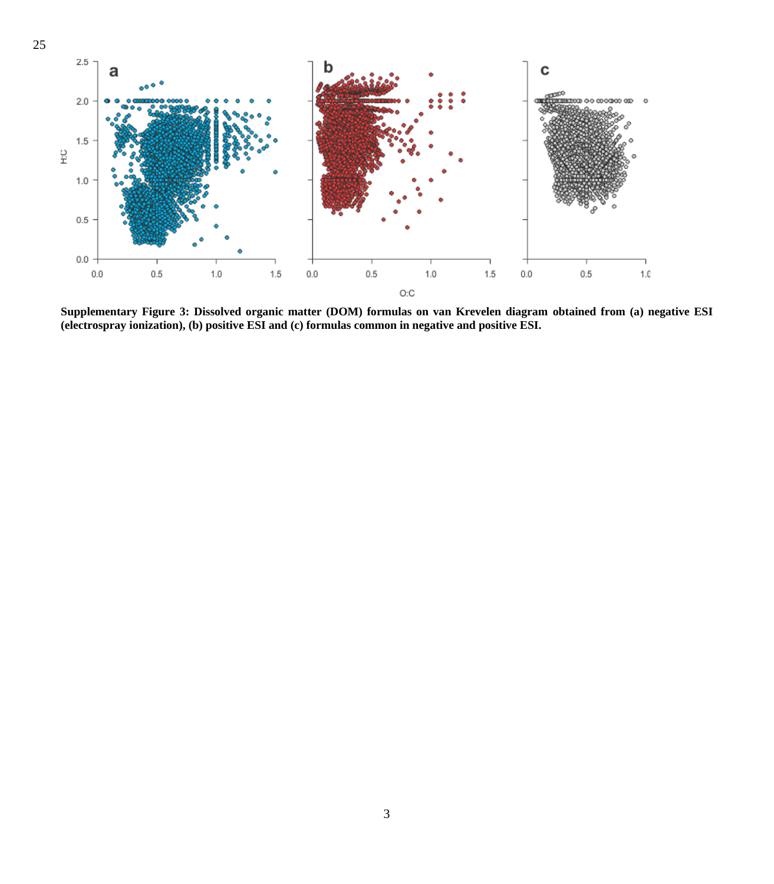

**Supplementary Figure 3: Dissolved organic matter (DOM) formulas on van Krevelen diagram obtained from (a) negative ESI (electrospray ionization), (b) positive ESI and (c) formulas common in negative and positive ESI.**